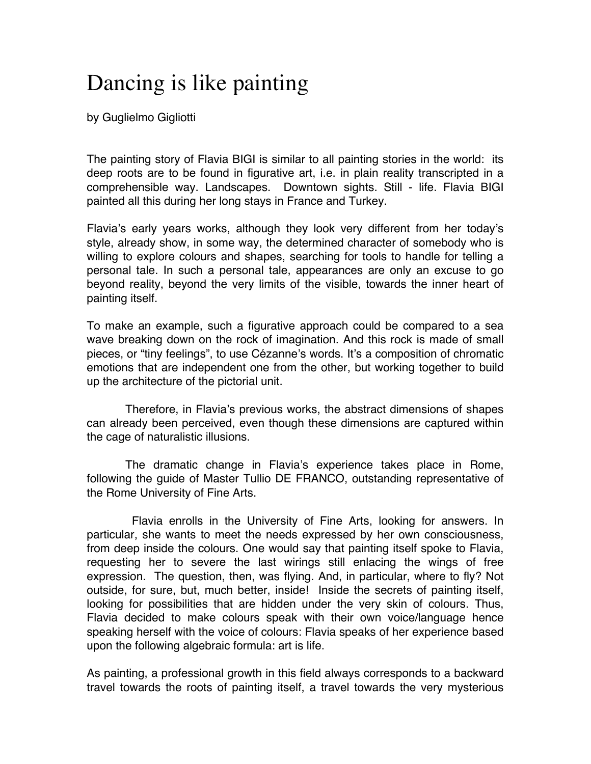## Dancing is like painting

by Guglielmo Gigliotti

The painting story of Flavia BIGI is similar to all painting stories in the world: its deep roots are to be found in figurative art, i.e. in plain reality transcripted in a comprehensible way. Landscapes. Downtown sights. Still - life. Flavia BIGI painted all this during her long stays in France and Turkey.

Flavia's early years works, although they look very different from her today's style, already show, in some way, the determined character of somebody who is willing to explore colours and shapes, searching for tools to handle for telling a personal tale. In such a personal tale, appearances are only an excuse to go beyond reality, beyond the very limits of the visible, towards the inner heart of painting itself.

To make an example, such a figurative approach could be compared to a sea wave breaking down on the rock of imagination. And this rock is made of small pieces, or "tiny feelings", to use Cézanne's words. It's a composition of chromatic emotions that are independent one from the other, but working together to build up the architecture of the pictorial unit.

 Therefore, in Flavia's previous works, the abstract dimensions of shapes can already been perceived, even though these dimensions are captured within the cage of naturalistic illusions.

 The dramatic change in Flavia's experience takes place in Rome, following the guide of Master Tullio DE FRANCO, outstanding representative of the Rome University of Fine Arts.

 Flavia enrolls in the University of Fine Arts, looking for answers. In particular, she wants to meet the needs expressed by her own consciousness, from deep inside the colours. One would say that painting itself spoke to Flavia, requesting her to severe the last wirings still enlacing the wings of free expression. The question, then, was flying. And, in particular, where to fly? Not outside, for sure, but, much better, inside! Inside the secrets of painting itself, looking for possibilities that are hidden under the very skin of colours. Thus, Flavia decided to make colours speak with their own voice/language hence speaking herself with the voice of colours: Flavia speaks of her experience based upon the following algebraic formula: art is life.

As painting, a professional growth in this field always corresponds to a backward travel towards the roots of painting itself, a travel towards the very mysterious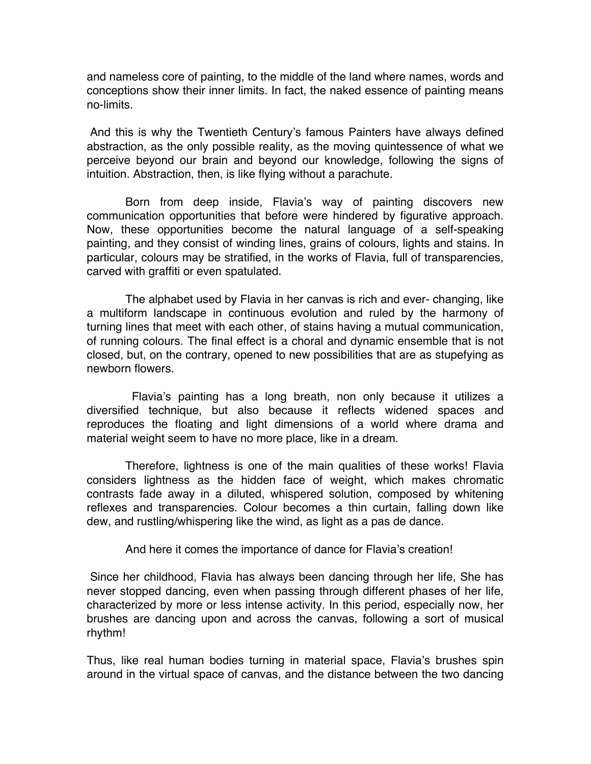and nameless core of painting, to the middle of the land where names, words and conceptions show their inner limits. In fact, the naked essence of painting means no-limits.

And this is why the Twentieth Century's famous Painters have always defined abstraction, as the only possible reality, as the moving quintessence of what we perceive beyond our brain and beyond our knowledge, following the signs of intuition. Abstraction, then, is like flying without a parachute.

 Born from deep inside, Flavia's way of painting discovers new communication opportunities that before were hindered by figurative approach. Now, these opportunities become the natural language of a self-speaking painting, and they consist of winding lines, grains of colours, lights and stains. In particular, colours may be stratified, in the works of Flavia, full of transparencies, carved with graffiti or even spatulated.

 The alphabet used by Flavia in her canvas is rich and ever- changing, like a multiform landscape in continuous evolution and ruled by the harmony of turning lines that meet with each other, of stains having a mutual communication, of running colours. The final effect is a choral and dynamic ensemble that is not closed, but, on the contrary, opened to new possibilities that are as stupefying as newborn flowers.

 Flavia's painting has a long breath, non only because it utilizes a diversified technique, but also because it reflects widened spaces and reproduces the floating and light dimensions of a world where drama and material weight seem to have no more place, like in a dream.

 Therefore, lightness is one of the main qualities of these works! Flavia considers lightness as the hidden face of weight, which makes chromatic contrasts fade away in a diluted, whispered solution, composed by whitening reflexes and transparencies. Colour becomes a thin curtain, falling down like dew, and rustling/whispering like the wind, as light as a pas de dance.

And here it comes the importance of dance for Flavia's creation!

Since her childhood, Flavia has always been dancing through her life, She has never stopped dancing, even when passing through different phases of her life, characterized by more or less intense activity. In this period, especially now, her brushes are dancing upon and across the canvas, following a sort of musical rhythm!

Thus, like real human bodies turning in material space, Flavia's brushes spin around in the virtual space of canvas, and the distance between the two dancing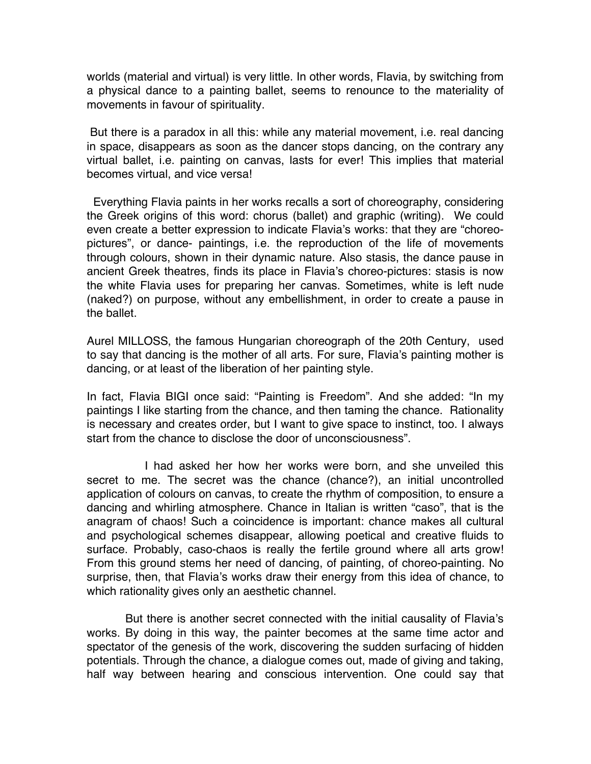worlds (material and virtual) is very little. In other words, Flavia, by switching from a physical dance to a painting ballet, seems to renounce to the materiality of movements in favour of spirituality.

But there is a paradox in all this: while any material movement, i.e. real dancing in space, disappears as soon as the dancer stops dancing, on the contrary any virtual ballet, i.e. painting on canvas, lasts for ever! This implies that material becomes virtual, and vice versa!

 Everything Flavia paints in her works recalls a sort of choreography, considering the Greek origins of this word: chorus (ballet) and graphic (writing). We could even create a better expression to indicate Flavia's works: that they are "choreopictures", or dance- paintings, i.e. the reproduction of the life of movements through colours, shown in their dynamic nature. Also stasis, the dance pause in ancient Greek theatres, finds its place in Flavia's choreo-pictures: stasis is now the white Flavia uses for preparing her canvas. Sometimes, white is left nude (naked?) on purpose, without any embellishment, in order to create a pause in the ballet.

Aurel MILLOSS, the famous Hungarian choreograph of the 20th Century, used to say that dancing is the mother of all arts. For sure, Flavia's painting mother is dancing, or at least of the liberation of her painting style.

In fact, Flavia BIGI once said: "Painting is Freedom". And she added: "In my paintings I like starting from the chance, and then taming the chance. Rationality is necessary and creates order, but I want to give space to instinct, too. I always start from the chance to disclose the door of unconsciousness".

 I had asked her how her works were born, and she unveiled this secret to me. The secret was the chance (chance?), an initial uncontrolled application of colours on canvas, to create the rhythm of composition, to ensure a dancing and whirling atmosphere. Chance in Italian is written "caso", that is the anagram of chaos! Such a coincidence is important: chance makes all cultural and psychological schemes disappear, allowing poetical and creative fluids to surface. Probably, caso-chaos is really the fertile ground where all arts grow! From this ground stems her need of dancing, of painting, of choreo-painting. No surprise, then, that Flavia's works draw their energy from this idea of chance, to which rationality gives only an aesthetic channel.

 But there is another secret connected with the initial causality of Flavia's works. By doing in this way, the painter becomes at the same time actor and spectator of the genesis of the work, discovering the sudden surfacing of hidden potentials. Through the chance, a dialogue comes out, made of giving and taking, half way between hearing and conscious intervention. One could say that